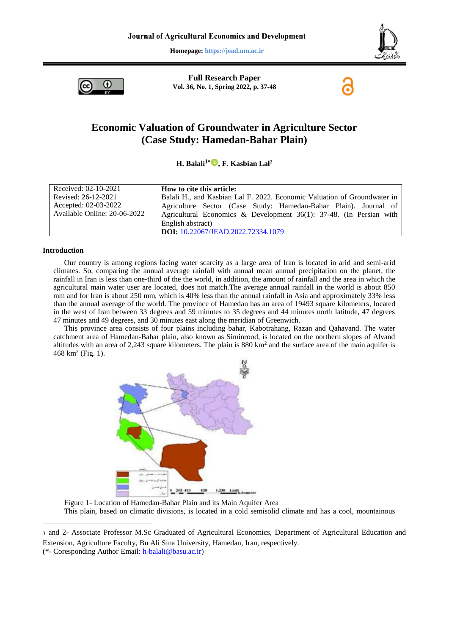**Homepage: https://jead.um.ac.ir**



Œ

**Full Research Paper Vol. 36, No. 1, Spring 2022, p. 37-48**

# **Economic Valuation of Groundwater in Agriculture Sector (Case Study: Hamedan-Bahar Plain)**

**H. Balali1[\\*](https://orcid.org/0000-0003-1187-0477) , F. Kasbian Lal<sup>2</sup>**

| Received: 02-10-2021         | How to cite this article:                                                |
|------------------------------|--------------------------------------------------------------------------|
| Revised: 26-12-2021          | Balali H., and Kasbian Lal F. 2022. Economic Valuation of Groundwater in |
| Accepted: 02-03-2022         | Agriculture Sector (Case Study: Hamedan-Bahar Plain). Journal of         |
| Available Online: 20-06-2022 | Agricultural Economics & Development $36(1)$ : 37-48. (In Persian with   |
|                              | English abstract)                                                        |
|                              | DOI: 10.22067/JEAD.2022.72334.1079                                       |

### **Introduction**

1

Our country is among regions facing water scarcity as a large area of Iran is located in arid and semi-arid climates. So, comparing the annual average rainfall with annual mean annual precipitation on the planet, the rainfall in Iran is less than one-third of the the world, in addition, the amount of rainfall and the area in which the agricultural main water user are located, does not match.The average annual rainfall in the world is about 850 mm and for Iran is about 250 mm, which is 40% less than the annual rainfall in Asia and approximately 33% less than the annual average of the world. The province of Hamedan has an area of 19493 square kilometers, located in the west of Iran between 33 degrees and 59 minutes to 35 degrees and 44 minutes north latitude, 47 degrees 47 minutes and 49 degrees, and 30 minutes east along the meridian of Greenwich.

This province area consists of four plains including bahar, Kabotrahang, Razan and Qahavand. The water catchment area of Hamedan-Bahar plain, also known as Siminrood, is located on the northern slopes of Alvand altitudes with an area of 2,243 square kilometers. The plain is 880 km<sup>2</sup> and the surface area of the main aquifer is  $468 \text{ km}^2 \text{ (Fig. 1)}.$ 



Figure 1- Location of Hamedan-Bahar Plain and its Main Aquifer Area This plain, based on climatic divisions, is located in a cold semisolid climate and has a cool, mountainous

<sup>1</sup> and 2- Associate Professor M.Sc Graduated of Agricultural Economics, Department of Agricultural Education and Extension, Agriculture Faculty, Bu Ali Sina University, Hamedan, Iran, respectively. (\*- Coresponding Author [Email: h-balali@basu.ac.ir\)](mailto:h-balali@basu.ac.ir)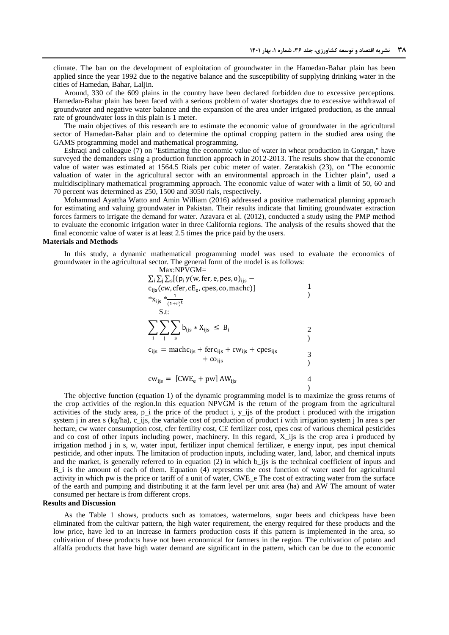climate. The ban on the development of exploitation of groundwater in the Hamedan-Bahar plain has been applied since the year 1992 due to the negative balance and the susceptibility of supplying drinking water in the cities of Hamedan, Bahar, Laljin.

Around, 330 of the 609 plains in the country have been declared forbidden due to excessive perceptions. Hamedan-Bahar plain has been faced with a serious problem of water shortages due to excessive withdrawal of groundwater and negative water balance and the expansion of the area under irrigated production, as the annual rate of groundwater loss in this plain is 1 meter.

The main objectives of this research are to estimate the economic value of groundwater in the agricultural sector of Hamedan-Bahar plain and to determine the optimal cropping pattern in the studied area using the GAMS programming model and mathematical programming.

Eshraqi and colleague (7) on "Estimating the economic value of water in wheat production in Gorgan," have surveyed the demanders using a production function approach in 2012-2013. The results show that the economic value of water was estimated at 1564.5 Rials per cubic meter of water. Zeratakish (23), on "The economic valuation of water in the agricultural sector with an environmental approach in the Lichter plain", used a multidisciplinary mathematical programming approach. The economic value of water with a limit of 50, 60 and 70 percent was determined as 250, 1500 and 3050 rials, respectively.

Mohammad Ayattha Watto and Amin William (2016) addressed a positive mathematical planning approach for estimating and valuing groundwater in Pakistan. Their results indicate that limiting groundwater extraction forces farmers to irrigate the demand for water. Azavara et al. (2012), conducted a study using the PMP method to evaluate the economic irrigation water in three California regions. The analysis of the results showed that the final economic value of water is at least 2.5 times the price paid by the users.

### **Materials and Methods**

In this study, a dynamic mathematical programming model was used to evaluate the economics of groundwater in the agricultural sector. The general form of the model is as follows: Max:NPVGM=

| $\cdots$<br>$\sum_i \sum_j \sum_s [(p_i y(w, \text{fer}, e, \text{pes}, o)]_{i s}$ –<br>$c_{ijs}(cw, cfer, cE_e, cpes, co, machc)]$<br>* $x_{ijs}$ * $\frac{1}{(1+r)^{t}}$<br>S.t: |  |
|------------------------------------------------------------------------------------------------------------------------------------------------------------------------------------|--|
| $\sum \sum b_{ijs} * X_{ijs} \ \leq \ B_i$<br>$c_{ijs}$ = machc <sub>ijs</sub> + ferc <sub>ijs</sub> + cw <sub>ijs</sub> + cpes <sub>ijs</sub><br>$+$ co <sub>iis</sub>            |  |

$$
cw_{ijs} = [CWE_e + pw] AW_{ijs}
$$

The objective function (equation 1) of the dynamic programming model is to maximize the gross returns of the crop activities of the region.In this equation NPVGM is the return of the program from the agricultural activities of the study area, p\_i the price of the product i, y\_ijs of the product i produced with the irrigation system j in area s (kg/ha), c\_ijs, the variable cost of production of product i with irrigation system j In area s per hectare, cw water consumption cost, cfer fertility cost, CE fertilizer cost, cpes cost of various chemical pesticides and co cost of other inputs including power, machinery. In this regard, X\_ijs is the crop area i produced by irrigation method j in s, w, water input, fertilizer input chemical fertilizer, e energy input, pes input chemical pesticide, and other inputs. The limitation of production inputs, including water, land, labor, and chemical inputs and the market, is generally referred to in equation (2) in which b\_ijs is the technical coefficient of inputs and B i is the amount of each of them. Equation (4) represents the cost function of water used for agricultural activity in which pw is the price or tariff of a unit of water, CWE e The cost of extracting water from the surface of the earth and pumping and distributing it at the farm level per unit area (ha) and AW The amount of water consumed per hectare is from different crops.

### **Results and Discussion**

As the Table 1 shows, products such as tomatoes, watermelons, sugar beets and chickpeas have been eliminated from the cultivar pattern, the high water requirement, the energy required for these products and the low price, have led to an increase in farmers production costs if this pattern is implemented in the area, so cultivation of these products have not been economical for farmers in the region. The cultivation of potato and alfalfa products that have high water demand are significant in the pattern, which can be due to the economic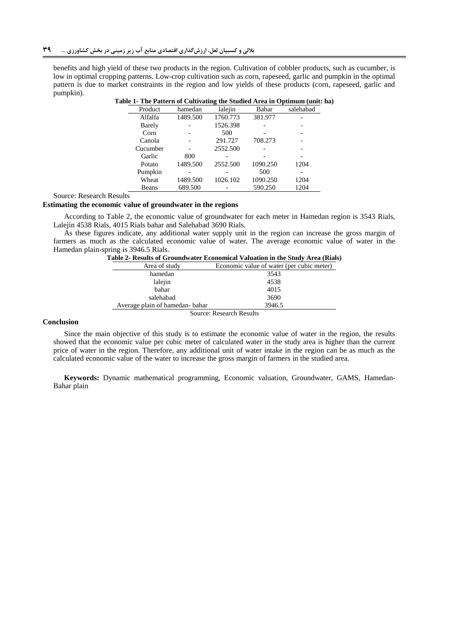benefits and high yield of these two products in the region. Cultivation of cobbler products, such as cucumber, is low in optimal cropping patterns. Low-crop cultivation such as corn, rapeseed, garlic and pumpkin in the optimal pattern is due to market constraints in the region and low yields of these products (corn, rapeseed, garlic and pumpkin).

|          |          |          |          | ble 1- The Pattern of Cultivating the Studied Area in Optimum (unit: h |
|----------|----------|----------|----------|------------------------------------------------------------------------|
| Product  | hamedan  | lalejin  | Bahar    | salehabad                                                              |
| Alfalfa  | 1489.500 | 1760.773 | 381.977  |                                                                        |
| Barely   |          | 1526.398 |          |                                                                        |
| Corn     |          | 500      |          |                                                                        |
| Canola   |          | 291.727  | 708.273  |                                                                        |
| Cucumber |          | 2552.500 |          |                                                                        |
| Garlic   | 800      |          |          |                                                                        |
| Potato   | 1489.500 | 2552.500 | 1090.250 | 1204                                                                   |
| Pumpkin  |          |          | 500      |                                                                        |
| Wheat    | 1489.500 | 1026.102 | 1090.250 | 1204                                                                   |
| Beans    | 689.500  |          | 590.250  | 1204                                                                   |
|          |          |          |          |                                                                        |

**Table 1- The Pattern of Cultivating the Studied Area in Optimum (unit: ha)**

Source: Research Results

#### **Estimating the economic value of groundwater in the regions**

According to Table 2, the economic value of groundwater for each meter in Hamedan region is 3543 Rials, Lalejin 4538 Rials, 4015 Rials bahar and Salehabad 3690 Rials.

As these figures indicate, any additional water supply unit in the region can increase the gross margin of farmers as much as the calculated economic value of water. The average economic value of water in the Hamedan plain-spring is 3946.5 Rials.

| Area of study                   | Economic value of water (per cubic meter) |  |
|---------------------------------|-------------------------------------------|--|
| hamedan                         | 3543                                      |  |
| lalejin                         | 4538                                      |  |
| bahar                           | 4015                                      |  |
| salehabad                       | 3690                                      |  |
| Average plain of hamedan-bahar  | 3946.5                                    |  |
| <b>Source: Research Results</b> |                                           |  |

#### **Conclusion**

Since the main objective of this study is to estimate the economic value of water in the region, the results showed that the economic value per cubic meter of calculated water in the study area is higher than the current price of water in the region. Therefore, any additional unit of water intake in the region can be as much as the calculated economic value of the water to increase the gross margin of farmers in the studied area.

**Keywords:** Dynamic mathematical programming, Economic valuation, Groundwater, GAMS, Hamedan-Bahar plain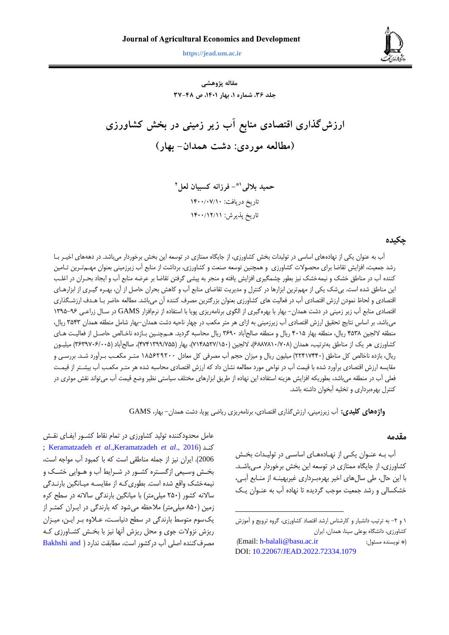

**https://jead.um.ac.ir**

**مقاله پژوهشی جلد ،63 شماره ،1 بهار ،1041 ص 63-04**

**ارزشگذاري اقتصادي منابع آب زیر زمینی در بخش کشاورزي )مطالعه موردي: دشت همدان- بهار(**

> **- فرزانه کسبیان لعل 1\* حمید باللی 2** تاریخ دریافت: ١۴٠٠/٠٧/١٠ تاریخ پذیرش: 0011/01/00

### **چکيده**

آب به عنوان يکي از نهادههاي اساسي در توليدات بخش کشاورزي، از جايگاه ممتازي در توسعه اين بخش برخوردار ميباشد. در دهههاي اخيـر بـا رشد جمعيت، افزايش تقاضا براي محصوالت کشاورزي و همچنين توسعه صنعت و کشاورزي، برداشت از منابع آب زيرزميني بعنوان مهر تررين ترامين کننده آب در مناطق خشک و نيمهخشک نيز بطور چشمگيري افزايش يافته و منجر به پيشي گرفتن تقاضا بر عرضه منابع آب و ايجاد بحرران در البر اين مناطق شده است. بي شک يکي از مهم ترين ابزارها در کنترل و مديريت تقاضاي منابع آب و کاهش بحران حاصل از آن، بهـره گيـري از ابزارهـاي اقتصادي و لحاظ نمودن ارزش اقتصادي آب در فعاليت هاي کشاورزي بعنوان بزرگترين مصرف کننده آن ميباشد. مطالعه حاضر برا هردف ارزشرگیاري اقتصادي منابع آب زير زميني در دشت همدان- بهار با بهرهگيري از الگوي برنامهريزي پويا با استفاده از نرمافزار GAMS در سرال زراعر ي 1961-69 ميباشد. بر اساس نتايج تحقيق ارزش اقتصادي آب زيرزميني به ازاي هر متر مکعب در چهار ناحيه دشت همدان-بهار شامل منطقه همدان ٣٥۴٣ ريال، منطقه لالجين ٢٥٣٨ ريال، منطقه بهار ۴٠١۵ ريال و منطقه صالحآباد ٣۶٩٠ ريال محاسبه گرديد. هـمچنـين بـازده ناخـالص حاصـل از فعاليـت هـاي کشاورزي هر يک از مناطق بهترتيب، همدان (۶۸۸۷۸۱۰/۷۰۸)، لالجين (۷۱۵۲۷/۱۵۰)، بهار (۲۷۴۱۳۹۹/۷۵۵)، صالحآباد (۳۶۳۹۷۰۶/۰۲۵) ميليـون ريال، بازده ناخالص کل مناطق (۲۲۴۱۷۴۴۰) ميليون ريال و ميزان حجم آب مصرفي کل معادل ۱۸۵۶۲۹۲۰۰ متـر مکعـب بـرآورد شـد. بررسـي و مقايسه ارزش اقتصادي برآورد شده با قيمت آب در نواحي مورد مطالعه نشان داد که ارزش اقتصادي محاسبه شده هر متـر مکعـب آب بيشـتر از قيمـت فعبي آب در منطقه ميباشد، بطوريکه افزايش هزينه استفاده اين نهاده از طريق ابزارهاي مختبف سياستي نظير وضع قيمت آب ميتواند نقش موثري در کنترل بهرهبرداري و تخبيه آبخوان داشته باشد.

**واژههای کليدی:** آب زيرزميني، ارزشگیاري اقتصادي، برنامهريزي رياضي پويا، دشت همدان- بهار، GAMS

 $\overline{a}$ 

## **مقدمه**

آب به عنـوان يکـي از نهـادههـاي اساسـي در توليـدات بخـش کشاورزي، از جايگاه ممتازي در توسعه اين بخش برخوردار مري باشرد. با اين حال، طي سالهاي اخير بهرهبررداري ليربهينره از منرابع آبري، خشکسالي و رشد جمعيت موجب گرديده تا نهاده آب به عنـوان يـک

عامل محدودکننده توليد کشاورزي در تمام نقاط کشرور ايفراي نقرش ; [Keramatzadeh](#page-10-1) *et al*.[,Keramatzadeh](#page-10-0) *et al*., 2016 ( کنرد 2006(. ايران نيز از جمبه مناطقي است که با کمبود آب مواجه است، بخش وسيعي ازگستره کشـور در شـرايط آب و هـوايي خشـک و نيمهخشک واقع شده است. بطوري کـه از مقايسـه ميـانگين بارنـدگي ساالنه کشور )111 ميبيمتر( با ميانگين بارندگي ساالنه در سطح کره زمين (۸۵۰ ميلي متر) ملاحظه مي شود که بارندگي در ايـران کمتـر از يکسوم متوسي بارندگي در سطح دنياسرت، عرالوه برر ايرن، ميرزان ريزش نزوالت جوي و محل ريزش آنها نيز با بخرش کشراورزي کره مصرف کننده اصلی آب در کشور است، مطابقت ندارد ( Bakhshi and

<sup>1</sup> و ٢- به ترتيب دانشيار و کارشناس ارشد اقتصاد کشاورزي، گروه ترويج و آموزش کشاورزي، دانشگاه بوعبي سينا، همدان، ايران

<sup>)</sup>Email: [h-balali@basu.ac.ir](mailto:h-balali@basu.ac.ir) :مسئول نويسنده)\* DOI: [10.22067/JEAD.2022.72334.1079](https://dx.doi.org/10.22067/JEAD.2022.72334.1079)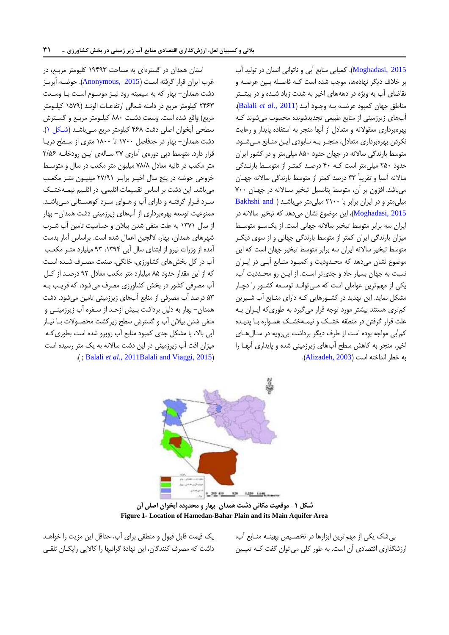[2015 ,Moghadasi](#page-10-2)[\)](#page-10-2). کميابي منابع آبي و ناتواني انسان در توليد آب بر خلاف ديگر نهادهها، موجب شده است كـه فاصـله بـين عرضـه و تقاضاي آب به ويژه در دهههاي اخير به شدت زياد شرده و در بيشرتر مناطق جهان کمبود عرضره بره وجرود آيرد ) 2011 *.*,*al et* [Balali](#page-10-3)). آبهاي زيرزميني از منابع طبيعي تجديدشونده محسوب ميشوند کره بهرهبرداري معقوالنه و متعادل از آنها منجر به استفاده پايدار و رعايت نکردن بهرهبرداري متعادل، منجـر بـه نـابودي ايـن منـابع مـى شـود. متوسط بارندگي سالانه در جهان حدود ۸۵۰ ميلي متر و در کشور ايران حدود 111 ميبيمتر است کره 51 درصرد کمترر از متوسري بارنردگي سالانه آسيا و تقريباً ٣٣ درصد کمتر از متوسط بارندگي سالانه جهـان مي باشد. افزون بر آن، متوسط پتانسيل تبخير سالانه در جهان ٧٠٠ ميبيمتر و در ايران برابر با 1111 ميبيمتر ميباشرد [\)](#page-10-2) [and Bakhshi](#page-10-2) [2015 ,Moghadasi](#page-10-2))، اين موضوع نشان ميدهد که تبخير ساالنه در ايران سه برابر متوسط تبخير سالانه جهاني است. از يکسو متوسط ميزان بارندگي ايران کمتر از متوسط بارندگي جهاني و از سوي ديگـر متوسط تبخير سالانه ايران سه برابر متوسط تبخير جهان است که اين موضوع نشان ميدهد که محردوديت و کمبرود منرابع آبري در ايرران نسبت به جهان بسيار حاد و جديتر اسرت. از ايرن رو محردديت آب، يکي از مهم ترين عواملي است که مي توانـد توسـعه کشـور را دچـار مشکل نمايد. اين تهديد در کشرورهايي کره داراي منرابع آب شريرين کم تری هستند بيشتر مورد توجه قرار مي گيرد به طوري که ايـران بـه علت قرار گرفتن در منطقه خشک و نيمـهخشـک همـواره بـا پديـده کم آبي مواجه بوده است از طرف ديگر برداشت بي رويه در سال هـاي اخير، منجر به کاهش سطح آبهاي زيرزميني شده و پايداري آنهرا را به خطر انداخته است (Alizadeh, 2003).

استان همدان در گسترهاي به مساحت 16569 کبيومتر مربرع، در غرب ايران قرار گرفته است (Anonymous, 2015[\)](#page-11-0). حوضـه آبريـز دشت همدان- بهار که به سيمينه رود نيرز موسروم اسر ت برا وسرعت ٢۴۶۳ کيلومتر مربع در دامنه شمالي ارتفاعـات الونـد (١۵٧٩ کيلـومتر مربع) واقع شده است. وسعت دشت ۸۸۰ کيلـومتر مربـع و گسـترش سطحي آبخوان اصبي دشت 594 کيبومتر مربع مري باشرد [\) شرکل 1\(](#page-4-0). دشت همدان- بهار در حدفاصل 1811 تا 1411 متري از سرطح دريرا قرار دارد. متوسط دبي دورهي آماري ٣٧ سـاله ي ايـن رودخانـه ٢/۵۶ متر مکعب در ثانيه معادل ٧٨/٨ ميليون متر مکعب در سال و متوسط خروجي حوضه در پنج سال اخيـر برابـر ٢٧/٩١ ميليـون متـر مکعـب مي باشد. اين دشت بر اساس تقسيمات اقليمي، در اقليم نيمـهخشـک سرد قـرار گرفتـه و داراي آب و هـواي سـرد کوهسـتاني مـيباشـد. ممنوعيت توسعه بهرهبرداري از آبهاي زيرزميني دشت همدان- بهار از سال 1981 به عبت منفي شدن بيالن و حساسيت تامين آب شررب شهرهاي همدان، بهار، اللجين اعمال شده است. براساس آمار بدست آمده از وزرات نيرو از ابتداى سال آبي ١٣٩۴، ٩٣ ميليارد متر مكعب آب در کل بخشهاي کشاورزي، خانگي، صنعت مصررف شرده اسرت که از اين مقدار حدود ٨۵ ميليارد متر مکعب معادل ٩٢ درصد از کل آب مصرفي کشور در بخش کشاورزي مصرف ميشود، که قرير بره 19 درصد آب مصرفي از منابع آبهاي زيرزميني تامين ميشود. دشت همدان- بهار به دليل برداشت بريش ازحرد از سرفره آب زيرزمينري و منفي شدن بيالن آب و گسترش سطح زيرکشت محصروالت برا نيراز آبي باال، با مشکل جدي کمبود منابع آب روبرو شده است بطوريکره ميزان افت آب زيرزميني در اين دشت ساالنه به يک متر رسيده است .) ; Balali *et al*[., 2011](#page-10-3)[Balali and Viaggi, 2015](#page-10-4)(



<span id="page-4-0"></span>**شکل -1 موقعيت مکاني دشت همدان-بهار و محدوده آبخوان اصلي آن Figure 1- Location of Hamedan-Bahar Plain and its Main Aquifer Area**

يک قيمت قابل قبول و منطقي براي آب، حداقل اين مزيت را خواهرد داشت که مصرف کنندگان، اين نهادۀ گرانبها را کااليي رايگران تبقري

بي شک يکي از مهم ترين ابزارها در تخصيص بهينـه منـابع آب، ارزشگذاري اقتصادي آن است. به طور کلي مي توان گفت کـه تعيـين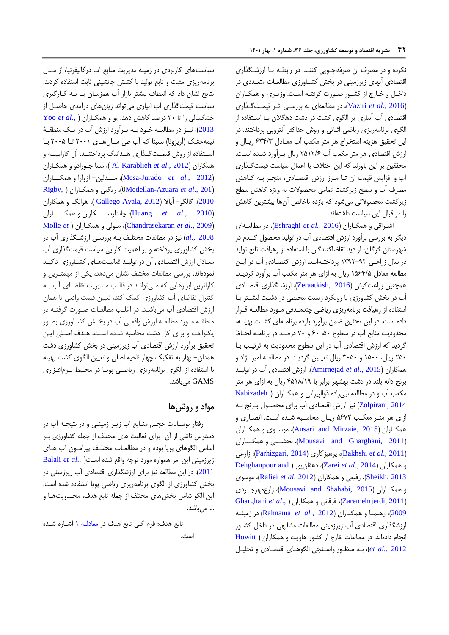نکرده و در مصرف آن صرفهجرويي کننرد . در رابطره برا ارزشرگیاري اقتصادي آبهاي زيرزميني در بخش کشراورزي مطالعرات متعرددي در داخل و خارج از کشور صورت گرفتـه است. وزيـري و همکـاران )[2016 .,](#page-11-1)*al et* Vaziri)، در مطالعهاي به بررسري اثرر قيمرت گریاري اقتصادي آب آبياري بر الگوي کشت در دشت دهگالن برا اسرتفاده از الگوي برنامهريزي رياضي اثباتي و روش حداکثر آنتروپي پرداختند. در اين تحقيق هزينه استخراج هر متر مکعب آب معـادل ۶۳۴/۳ ريـال و ارزش اقتصادي هر متر مکعب آب ۲۵۱۲/۶ ريال برآورد شده است. محققين بر اين باورند که اين اختالف با اعمال سياست قيمتگریاري آب و افزايش قيمت آن تـا مـرز ارزش اقتصـادي، منجـر بـه كـاهش مصرف آب و سطح زيرکشت تمامي محصوالت به ويژه کاهش سطح زيرکشت محصولاتي مي شود که بازده ناخالص آنها بيشترين کاهش را در قبال اين سياست داشتهاند.

اشرراقي و همکراران ) 2016 *.*,*al et* [Eshraghi](#page-10-5))، در مطالعره اي ديگر به بررسي برآورد ارزش اقتصادي آب در توليد محصول گنردم در شهرستان گرگان، از ديد تقاضاکنندگان با استفاده از رهيافت تابع توليد در سال زراعـی ۹۳-۱۳۹۲ پرداختـهانـد. ارزش اقتصـادی آب در ايـن مطالعه معادل ۱۵۶۴/۵ ريال به ازاي هر متر مکعب آب برآورد گرديـد. همچنين زراعتکيش )[2016 ,Zeraatkish](#page-11-2))، ارزشرگیاري اقتصرادي آب در بخش کشاورزي با رويکرد زيست محيطي در دشرت ليشرتر برا استفاده از رهيافت برنامهريزي رياضي چندهردفي مرورد مطالعره قررار داده است. در اين تحقيق ضمن برآورد بازده برنامـهاي كشـت بهينـه، محدوديت منابع آب در سطوح ،11 91 و 81 درصرد در برنامره لحراظ گرديد که ارزش اقتصادي آب در اين سطوح محدوديت به ترتير برا ۲۵۰ ريال، ۱۵۰۰ و ۳۰۵۰ ريال تعيين گرديـد. در مطالعـه اميرنـژاد و همکاران )2015 .,*al et* [Amirnejad](#page-9-1))، ارزش اقتصادي آب در توليرد برنج دانه ببند در دشت بهشهر برابر با 5114/16 ريال به ازاي هر متر مکعب آب و در مطالعه نبيزاده ذوالپيراني و همکاران ( [Nabizadeh](#page-10-6) [2014 ,Zolpirani](#page-10-6) )نيز ارزش اقتصادي آب براي محصرول بررنج بره ازاي هر مترر معکر 1981 ريرال محاسربه شرده اسرت. انصراري و همکراران )[2015 ,Mirzaie and Ansari](#page-9-2))، موسروي و همکراران )[2011 ,Gharghani and Mousavi](#page-10-7))، بخشررري و همکررراران زارعي ،([Parhizgari, 2014](#page-10-9)( پرهيزکاري ،([Bakhshi](#page-10-8) *et al*., 2011( [Dehghanpour and](#page-10-10) [\(](#page-10-10) دهقانپور ،(Zarei *et al*[., 2014](#page-11-3)( همکاران و [2013 ,Sheikh](#page-10-10))، رفيعي و همکاران )2012 ,*al et* [Rafiei](#page-11-4))، موسوي و همکرراران )[2015 ,Shahabi and Mousavi](#page-10-11))، زارعمهرجررردي [Gharghani](#page-10-12) *et al*., [\(](#page-10-12) همکاران و قرقاني ،([Zaremehrjerdi, 2011](#page-11-5)( [2009](#page-10-12)(، رهنمرا و همکراران )2012 *.*,*al et* [Rahnama](#page-11-6) )در زمينره ارزشگیاري اقتصادي آب زيرزميني مطالعات مشابهي در داخل کشرور انجام دادهاند. در مطالعات خارز از کشور هاويت و همکاران ) [Howitt](#page-10-13) [2012](#page-10-13) *.*,*al et*)، بره منظرور واسرنجي الگوهراي اقتصرادي و تحبيرل

سياستهاي کاربردي در زمينه مديريت منابع آب درکاليفرنيا، از مردل برنامهريزي مثبت و تابع توليد با کشش جانشيني ثابت استفاده کردند. نتايج نشان داد که انعطاف بيشتر بازار آب همزمـان بـا بـه کـارگيري سياست قيمتگیاري آب آبياري ميتواند زيانهاي درآمدي حاصرل از خشکسالي را تا 91 درصد کاهش دهد. يو و همکراران [\)](#page-11-7) *.*,*al et* [Yoo](#page-11-7) [2013](#page-11-7))، نيـز در مطالعــه خــود بــه بــرآورد ارزش آب در يــک منطقــهٔ نيمهخشک (آريزونا) نسبتا کم آب طي سـالهـاي ٢٠٠١ تـا ٢٠٠۵ بـا اسـتفاده از روش قيمـتگـذاري هـدانيک پرداختنــد. آل کارابليــه و همکاران )2012 .,*al et* [Karablieh-Al](#page-9-3)) ، مسا جرورادو و همکراران )2012 .,*al et* [Jurado-Mesa](#page-10-14))، مررردلين- آزوارا و همکررراران [Rigby,](#page-11-8) [\(](#page-11-8) همکراران و ريگبي ،([0Medellan-Azuara](#page-10-15) *et al*., 201( [2010](#page-11-8)(، گالگو- آياال )[2012 ,Ayala-Gallego](#page-10-16)) ، هوانگ و همکاران )[2010 .,](#page-10-17)*al et* Huang)، چاندارسررررکاران و همکرررراران [Molle](#page-10-19) *et* [\(](#page-10-19) همکراران و مرولي ،([Chandrasekaran](#page-10-18) *et al*., 2009( [2008 .,](#page-10-19)*al* )نيز در مطالعات مختبرف بره بررسري ارزشرگیاري آب در بخش کشاورزي پرداخته و بر اهميت کارايي سياست قيمتگیاري آب معـادل ارزش اقتصـادي آن در توليـد فعاليـتهـاي کشـاورزي تاکيـد نمودهاند. بررسي مطالعات مختبف نشان ميدهد، يکي از مهمتررين و کاراترين ابزارهايي که مي توانـد در قالب مـديريت تقاضـاي آب بـه کنترل تقاضاي آب کشاورزي کمک کند، تعيين قيمت واقعي يا همان ارزش اقتصادي آب ميباشد. در اغلب مطالعـات صـورت گرفتـه در منطقـه مــورد مطالعــه ارزش واقعــي آب در بخــش کشــاورزي بطــور يکنواخت و براي کل دشت محاسبه شرده اسرت. هردف اصربي ايرن تحقيق برآورد ارزش اقتصادي آب زيرزميني در بخش کشاورزي دشت همدان- بهار به تفکيک چهار ناحيه اصبي و تعيين الگوي کشت بهينه با استفاده از الگوي برنامهريزي رياضري پويرا در محريي نررم افرزاري GAMS ميباشد.

## **مواد و روشها**

رفتار نوسـانات حجـم منـابع آب زيـر زمينـى و در نتيجـه آب در دسترس ناشي از آن براي فعاليت هاي مختبف از جمبه کشاورزي برر اساس الگوهاي پويا بوده و در مطالعـات مختلـف پيرامــون آب هـاي زيرزميني اين امر همواره مورد توجه واقع شده اسرت[\)](#page-10-3) .,*al et* [Balali](#page-10-3) [2011](#page-10-3)(. در اين مطالعه نيز براي ارزشگیاري اقتصادي آب زيرزميني در بخش کشاورزي از الگوي برنامهريزي رياضي پويا استفاده شده است. اين الگو شامل بخشهاي مختبف از جمبه تابع هدف، محردويت هرا و ... مى باشد.

تابع هدف: فرم کلی تابع هدف در معادل<sup>م ۱</sup> اشاره شده است.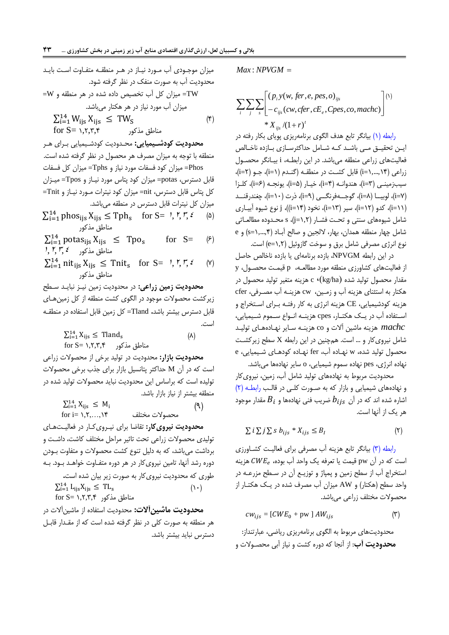ميزان موجـودي آب مـورد نيـاز در هـر منطقـه متفـاوت اسـت بايـد محدوديت آب به صورت منفک در نظر گرفته شود. =W ميزان کل آب تخصيص داده شده در هر منطقه و W= ميزان آب مورد نياز در هر هکتار ميباشد.  $\sum_{i=1}^{14} W_{ijs} X_{ijs} \leq TW_S$  (\*)  $for S = \{1, 7, 7, 7\}$  مناطق مذکور

**محدوديت کودشييميايي :** محردوديت کودشريميايي برراي هرر منطقه با توجه به ميزان مصرف هر محصول در نظر گرفته شده است. Phos =ميزان کود فسفات مورد نياز و Tphs =ميزان کل فسفات قابل دسترس، potas =ميزان کود پتاس مورد نيراز و Tpos =ميرزان کل پتاس قابل دسترس، nit =ميزان کود نيترات مرورد نيراز و Tnit = ميزان کل نيترات قابل دسترس در منطقه ميباشد.

 $\sum_{i=1}^{14}$  phos<sub>ijs</sub>  $X_{ijs} \leq$  Tph<sub>s</sub> for S=  $\frac{1}{2}$ ,  $\frac{1}{2}$ ,  $\frac{1}{2}$ ,  $\frac{1}{2}$ ,  $\frac{1}{2}$ ,  $\frac{1}{2}$ ,  $\frac{1}{2}$ ,  $\frac{1}{2}$ ,  $\frac{1}{2}$ مناطق مذکور

 $\sum_{i=1}^{14}$  potas<sub>ijs</sub>  $X_{ijs} \leq Top_s$  for  $S = \langle \hat{z} \rangle$ for  $S=$  $1, 7, 7, 2, \ldots$ مناطق مذکور

 $\sum_{i=1}^{14}$  nit<sub>ijs</sub>  $X_{ijs} \leq$  Tnit<sub>s</sub> for S=  $\prime, \prime, \prime, \epsilon$  (v) مناطق مذکور

**محدوديت زمين زراعي:** در محدوديت زمين نيرز نبايرد سرطح زيرکشت محصوالت موجود در الگوي کشت منطقه از کل زمينهراي قابل دسترس بيشتر باشد**.** Tland =کل زمين قابل استفاده در منطقره است.

$$
\sum_{i=1}^{14} X_{ijs} \le \text{Tland}_s
$$
\n
$$
\text{for } S = \lambda, \mathbf{y}, \mathbf{y}, \mathbf{y} \quad \text{and} \quad \text{(A)}
$$

**محدوديت بازار:** محدوديت در توليد برخي از محصوالت زراعي است که در آن M حداکثر پتانسيل بازار براي جیب برخي محصوالت توليده است که براساس اين محدوديت نبايد محصوالت توليد شده در منطقه بيشتر از نياز بازار باشد.

$$
\sum_{i=1}^{14} X_{ijs} \le M_i
$$
\n
$$
\text{for } i = 1, 5, \dots, 16 \tag{9}
$$

**محدوديت نيرویکار:** تقاضا براي نيرروي کرار در فعاليرت هراي توليدي محصوالت زراعي تحت تاثير مراحل مختبف کاشت، داشرت و برداشت ميباشد، که به دليل تنوع کشت محصوالت و متفاوت برودن دوره رشد آنها، تامين نيروىکار در هر دوره متفـاوت خواهـد بـود. بـه طوري که محدوديت نيرويکار به صورت زير بيان شده است**.**  $\sum_{i=1}^{14} L_{ijs} X_{ijs} \leq T L_s$  ().  $for S = \{1, 7, 7, 8\}$  مناطق مذکور

**محدوديت ماشينآالت:** محدوديت استفاده از ماشينآالت در هر منطقه به صورت کبي در نظر گرفته شده است که از مقردار قابرل دسترس نبايد بيشتر باشد. <span id="page-6-0"></span> $Max: NPVGM =$ 

$$
\sum_{i} \sum_{j} \sum_{s} \left[ \begin{matrix} (p_i y(w, \text{fer}, e, \text{pes}, o)_{ijs} \\ -c_{ijs}(cw, \text{cfer}, cE_e, Cpes, co, \text{machc}) \end{matrix} \right]^{(1)}
$$
  
\*  $X_{ijs}/(1+r)^t$ 

[رابطه](#page-6-0) )1( بيانگر تابع هدف الگوي برنامهريزي پوياي بکار رفته در ايـن تحقيــق مــي باشــد کــه شــامل حداکثرســازي بــازده ناخــالص فعاليتهاي زراعي منطقه ميباشد. در اين رابطره، i بيرانگر محصرول زراعي )1,...,15=i )قابل کشرت در منطقره )گنردم ) 1=i)، جرو ) 1=i)، سيبزمينـي (p=r)، هندوانـه (p=f)، خيـار (a=c)، يونجـه (p=s)، كلـزا (i=V)، لوبيـــا (i=\)، گوجــــهفرنگــــى (i=\)، ذرت (i=\)، چغندرقنـــد )11=i)، کدو )11=i)، سير )19=i)، نخود )15=i))، j نوع شيوه آبيراري شامل شيوههاي سنتي و تحرت فشرار ) 1,1=j)، s محردوده مطالعراتي شامل چهار منطقه همدان، بهار، اللجين و صالح آبراد ) 1,...,5=s )و e نوع انرژي مصرفي شامل برق و سوخت گازوئيل )1,1=e )است.

در اين رابطه NPVGM، بازده برنامهاي يا بازده ناخالص حاصل از فعاليتهاي کشاورزي منطقه مورد مطالعره، p قيمرت محصرول، y مقدار محصول توليد شده )ha/kg)، <sup>c</sup> هزينه متغير توليد محصول در هکتار به استثناي هزينه آب و زمرين، cw هزينره آب مصررفي، cfer هزينه کودشيميايي، CE هزينه انرژي به کار رفتـه بـراي اسـتخراج و اسـتفاده آب در يــک هکتــار، cpes هزينــه انــواع ســموم شــيميايي، هزينه ماشين آالت و co هزينره سراير نهراده هراي توليرد *machc* شامل نيرويکار و ... است. ه چنين در اين رابطه X سطح زيرکشرت محصول توليد شده، w نهراده آب، fer نهراده کودهراي شريميايي، e نهاده انرژي، pes نهاده سموم شيميايي، o ساير نهادهها ميباشد.

محدوديت مربوط به نهادههاي توليد شامل آب، زمين، نيرويکار و نهادههاي شيميايي و بازار كه به صورت كلي در قالب رابطه (٢) شاره شده اند که در آن  $b_{ijs}$  ضریب فنی نهادهها و  $B_{i}$  مقدار موجود هر يک از آنها است.

<span id="page-6-1"></span>
$$
\sum i \sum j \sum s b_{ijs} * X_{ijs} \leq B_I \tag{5}
$$

[رابطه \)9\(](#page-6-2) بيانگر تابع هزينه آب مصرفي براي فعاليرت کشراورزي ست که در آن pw قیمت یا تعرفه یک واحد آب بوده،  $\mathit{CWE}_e$  هزینه استخراج آب از سطح زمين و پمپاژ و توزيـع آن در سـطح مزرعـه در واحد سطح (هکتار) و AW ميزان آب مصرف شده در يـک هکتـار از محصوالت مختبف زراعي ميباشد.

<span id="page-6-2"></span>
$$
cw_{ijs} = [CWE_0 + pw \,] \, AW_{ijs} \tag{\text{(*)}}
$$

محدوديتهاي مربوط به الگوي برنامهريزي رياضي، عبارتنداز: **محدوديت آب**: از آنجا که دوره کشت و نياز آبي محصروالت و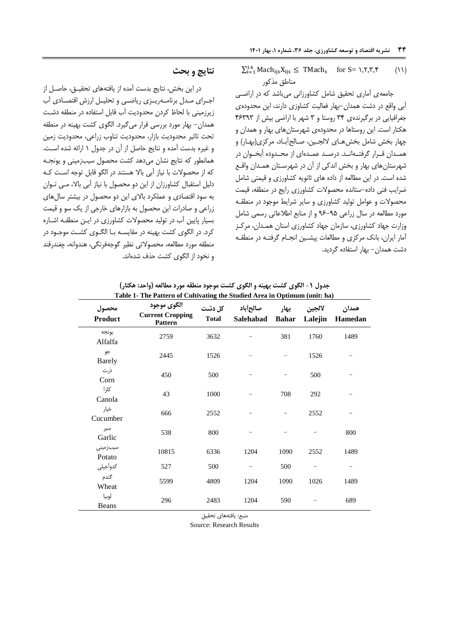$\sum_{i=1}^{14} \text{Mach}_{ijs} X_{ijs} \leq \text{TMach}_{s} \quad \text{for } S = \{1, 7, 7, 8, 6, 10\}$ مناطق مذکور

جامعهي آماري تحقيق شامل کشاورزاني ميباشد که در اراضري آبي واقع در دشت همدان-بهار فعاليت کشاوزي دارند، اين محدودهي جغرافيايي در برگيرندهي 95 روستا و 9 شهر با اراضي بيش از 59969 هکتار است. اين روستاها در محدودهي شهرستانهاي بهار و همدان و چهار بخش شامل بخش هـاي لالجـين، صـالح آبـاد، مرکزي(بهـار) و همـدان قـرار گرفتـهانـد. درصـد عمـدهای از محـدوده آبخـوان در شهرستانهاي بهار و بخش اندکي از آن در شهرسرتان همردان واقرع شده است. در اين مطالعه از داده هاي ثانويه کشاورزي و قيمتي شامل ضرايب فني داده-ستانده محصولات كشاورزي رايج در منطقه، قيمت محصوالت و عوامل توليد کشاورزي و ساير شرايي موجود در منطقره مورد مطالعه در سال زراعي 69-61 و از منابع اطالعاتي رسمي شامل وزارت جهاد کشاورزي، سازمان جهاد کشاورزي استان همردان، مرکرز آمار ايران، بانک مرکزي و مطالعات پيشـين انجـام گرفتـه در منطقـه دشت همدان- بهار استفاده گرديد.

### **نتايج و بحث**

در اين بخش، نتايج بدست آمده از يافتههاي تحقيرق، حاصرل از اجراي مدل برنامهريزي رياضي و تحليل ارزش اقتصادي آب زيرزميني با لحاظ کردن محدوديت آب قابل استفاده در منطقه دشرت همدان- بهار مورد بررسي قرار ميگيرد. الگوي کشت بهينه در منطقه تحت تاثير محدوديت بازار، محدوديت تناوب زراعي، محدوديت زمين و ليره بدست آمده و نتايج حاصل از آن در جدول 1 ارائه شده اسرت. همانطور که نتايج نشان مي دهد کشت محصول سيبزميني و يونجـه که از محصوالت با نياز آبي باال هستند در الگو قابل توجه اسرت کره دليل استقبال کشاورزان از اين دو محصول با نياز آبي باال، مري تروان به سود اقتصادي و عمبکرد باالي اين دو محصول در بيشتر سالهاي زراعي و صادرات اين محصول به بازارهاي خارجي از يک سو و قيمت بسيار پايين آب در توليد محصوالت کشاورزي در ايرن منطقره اشراره کرد. در الگوي کشت بهينه در مقايسـه بـا الگــوي کشــت موجــود در منطقه مورد مطالعه، محصوالتي نظير گوجهفرنگي، هندوانه، چغندرقند و نخود از الگوي کشت حیف شدهاند.

|                     | Table 1- The Pattern of Cultivating the Studied Area in Optimum (unit: ha) |              |           |                      |                   |                         |
|---------------------|----------------------------------------------------------------------------|--------------|-----------|----------------------|-------------------|-------------------------|
| محصول<br>Product    | الگوي موجود<br><b>Current Cropping</b><br><b>Pattern</b>                   | <b>Total</b> | Salehabad | بهار<br><b>Bahar</b> | لالجين<br>Lalejin | همدان<br><b>Hamedan</b> |
| يونجه<br>Alfalfa    | 2759                                                                       | 3632         |           | 381                  | 1760              | 1489                    |
| جو<br><b>Barely</b> | 2445                                                                       | 1526         |           |                      | 1526              |                         |
| ذرت<br>Corn         | 450                                                                        | 500          |           |                      | 500               |                         |
| كلزا<br>Canola      | 43                                                                         | 1000         |           | 708                  | 292               |                         |
| خيار<br>Cucumber    | 666                                                                        | 2552         |           |                      | 2552              |                         |
| سير<br>Garlic       | 538                                                                        | 800          |           |                      |                   | 800                     |
| سيبزمينى<br>Potato  | 10815                                                                      | 6336         | 1204      | 1090                 | 2552              | 1489                    |
| كدوآجيلي            | 527                                                                        | 500          |           | 500                  |                   | -                       |
| گندم<br>Wheat       | 5599                                                                       | 4809         | 1204      | 1090                 | 1026              | 1489                    |
| لوبيا<br>Beans      | 296                                                                        | 2483         | 1204      | 590                  |                   | 689                     |

**جدول -1 الگوی کشت بهينه و الگوی کشت موجود منطقه مورد مطالعه )واحد: هکتار(**

منبع: يافتههاي تحقيق

Source: Research Results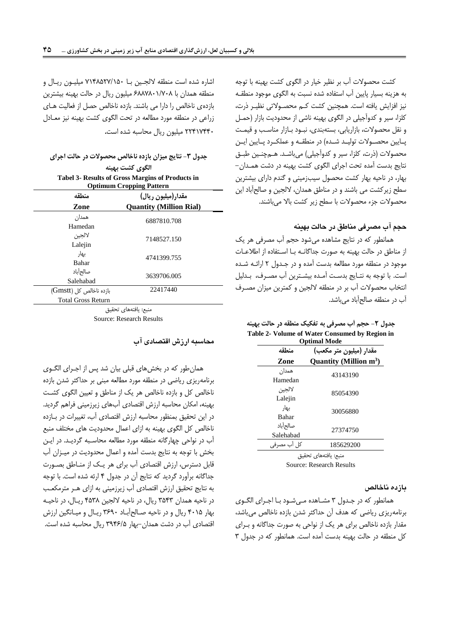کشت محصوالت آب بر نظير خيار در الگوي کشت بهينه با توجه به هزينه بسيار پايين آب استفاده شده نسبت به الگوي موجود منطقره نيز افزايش يافته است. همچنين کشت کر محصروالتي نظيرر ذرت، کبزا، سير و کدوآجيبي در الگوي بهينه ناشي از محدوديت بازار )حمرل و نقل محصوالت، بازاريابي، بستهبندي، نبرود برا زار مناسر و قيمرت پـايين محصـولات توليـد شـده) در منطقـه و عملكـرد پـايين ايـن محصولات (ذرت، کلزا، سير و کدوآجيلي) ميباشـد. هـمچنـين طبـق نتايج بدست آمده تحت اجراي الگوي کشت بهينه در دشت همردان - بهار، در ناحيه بهار کشت محصول سيبزميني و گندم داراي بيشترين سطح زيرکشت مي باشند و در مناطق همدان، اللجين و صالحآباد اين محصولات جزء محصولات با سطح زير كشت بالا ميباشند.

**حجم آب مصرفي مناطق در حالت بهينه**

همانطور که در نتايج مشاهده ميشود حج آب مصرفي هر يک از مناطق در حالت بهينه به صورت جداگانـه بـا اسـتفاده از اطلاعـات موجود در منطقه مورد مطالعه بدست آمده و در جردول 1 ارائره شرده است. با توجه به نترايج بدسرت آمرده بيشرترين آب مصررف، بردليل انتخاب محصوالت آب بر در منطقه اللجين و کمترين ميزان مصررف آب در منطقه صالحآباد ميباشد.

**جدول -2 حجم آب مصرفي به تفکيک منطقه در حالت بهينه Table 2- Volume of Water Consumed by Region in Optimal Mode**

| منطقه                 | مقدار (میلیون متر مکعب)            |
|-----------------------|------------------------------------|
| Zone                  | Quantity (Million m <sup>3</sup> ) |
| همدان<br>Hamedan      | 43143190                           |
| لالجين<br>Lalejin     | 85054390                           |
| بهار<br>Bahar         | 30056880                           |
| صالحأباد<br>Salehabad | 27374750                           |
| كل أب مصرفي           | 185629200                          |
|                       |                                    |

منبع: يافتههاي تحقيق

Source: Research Results

**بازده ناخالص**

همانطور که در جردول 9 مشراهده مري شرود برا اجرراي الگروي برنامهريزي رياضي که هدف آن حداکثر شدن بازده ناخالص ميباشد، مقدار بازده ناخالص براي هر يک از نواحي به صورت جداگانه و بـراي کل منطقه در حالت بهينه بدست آمده است. همانطور که در جدول 9

اشاره شده است منطقه لالجـين بـا ٧١۴٨۵٢٧/١۵٠ ميليـون ريـال و منطقه همدان با 9448411/814 ميبيون ريال در حالت بهينه بيشترين بازدهي ناخالص را دارا مي باشند. بازده ناخالص حصل از فعاليت هـاي زراعي در منطقه مورد مطالعه در تحت الگوي کشت بهينه نيز معرادل 11518551 ميبيون ريال محاسبه شده است.

**جدول -3 نتايج ميزان بازده ناخالص محصوالت در حالت اجرای الگوی کشت بهينه Tabel 3- Results of Gross Margins of Products in Optimum Cropping Pattern**

|                           | $p$ and $p$ and $p$ and $p$                          |  |
|---------------------------|------------------------------------------------------|--|
| منطقه<br>Zone             | مقدار(میلیون ریال)<br><b>Quantity (Million Rial)</b> |  |
| همدان<br>Hamedan          | 6887810.708                                          |  |
| لالجين<br>Lalejin         | 7148527.150                                          |  |
| بهار<br>Bahar             | 4741399.755                                          |  |
| صالحأباد<br>Salehabad     | 3639706.005                                          |  |
| بازده ناخالص کل (Gmstt)   | 22417440                                             |  |
| <b>Total Gross Return</b> |                                                      |  |

منبع: يافتههاي تحقيق Source: Research Results

**محاسبه ارزش اقتصادی آب**

همانطور که در بخشهاي قببي بيان شد پس از اجرراي الگروي برنامهريزي رياضي در منطقه مورد مطالعه مبني بر حداکثر شدن بازده ناخالص کل و بازده ناخالص هر يک از مناطق و تعيين الگوي کشت بهينه، امکان محاسبه ارزش اقتصادي آبهاي زيرزميني فراه گرديد. در اين تحقيق بمنظور محاسبه ارزش اقتصادي آب، تغييرات در برازده ناخالص کل الگوي بهينه به ازاي اعمال محدوديت هاي مختلف منبع آب در نواحي چهارگانه منطقه مورد مطالعه محاسربه گرديرد. در ايرن بخش با توجه به نتايج بدست آمده و اعمال محدوديت در ميرزان آب قابل دسترس، ارزش اقتصادي آب براي هر يرک از منراطق بصرورت جداگانه برآورد گرديد که نتايج آن در جدول 5 ارئه شده است. با توجه به نتايج تحقيق ارزش اقتصادي آب زيرزميني به ازاي هرر مترمکعر در ناحيه همدان 9159 ريال، در ناحيه اللجين 5194 ريرال، در ناحيره بهار ۴۰۱۵ ريال و در ناحيه صـالح آبـاد ۳۶۹۰ ريـال و ميـانگين ارزش اقتصادي آب در دشت همدان-بهار 9659/1 ريال محاسبه شده است.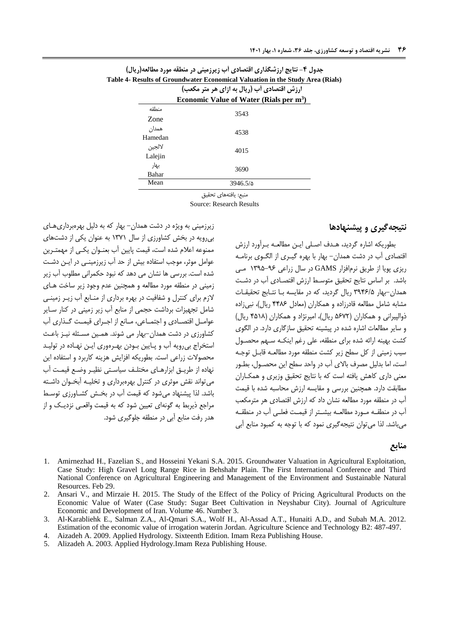|         | ارزش اقتصادی أب (ریال به ازای هر متر مکعب)          |
|---------|-----------------------------------------------------|
|         | Economic Value of Water (Rials per m <sup>3</sup> ) |
| منطقه   | 3543                                                |
| Zone    |                                                     |
| همدان   | 4538                                                |
| Hamedan |                                                     |
| لالجين  | 4015                                                |
| Lalejin |                                                     |
| بهار    | 3690                                                |
| Bahar   |                                                     |
| Mean    | 3946.5/a                                            |
|         | منىع: يافتەھاي تحقيق                                |

| جدول ۴- نتایج ارزشگذاری اقتصادی أب زیرزمینی در منطقه مورد مطالعه(ریال)         |
|--------------------------------------------------------------------------------|
| Table 4- Results of Groundwater Economical Valuation in the Study Area (Rials) |
| ارزش اقتصادی أب (ریال به ازای هر متر مکعب)                                     |

Source: Research Results

**نتيجهگيری و پيشنهادها**

بطوريکه اشاره گرديد، هردف اصربي ايرن مطالعره بررآورد ارزش اقتصادي آب در دشت همدان- بهار با بهره گيرري از الگروي برنامره ريزي پويا از طريق نرمافزار GAMS در سال زراعي 1961-69 مري باشد. بر اساس نتايج تحقيق متوسري ارزش اقتصرادي آب در دشرت همدان-بهار 9659/1 ريال گرديد، که در مقايسه برا نترابج تحقيقرات مشابه شامل مطالعه قادرزاده و همکاران )معادل 5549 ريال(، نبيزاده ذوالپيراني و همکاران (۵۶۷۲ ريال)، اميرنژاد و همکاران (۴۵۱۸ ريال) و ساير مطالعات اشاره شده در پيشينه تحقيق سازگاري دارد. در الگوي کشت بهينه ارائه شده براي منطقه، علي رغم اينکـه سـهم محصـول سيب زميني از کل سطح زير کشت منطقه مورد مطالعـه قابـل توجـه است، اما بدليل مصرف باالي آب در واحد سطح اين محصرول، بطرور معني داري کاهش يافته است که با نتايج تحقيق وزيري و همکراران مطابقت دارد. همچنين بررسي و مقايسه ارزش محاسبه شده با قيمت آب در منطقه مورد مطالعه نشان داد که ارزش اقتصادي هر مترمکع آب در منطقــه مــورد مطالعــه بيشــتر از قيمـت فعلــي آب در منطقــه ميباشد. لیا ميتوان نتيجهگيري نمود که با توجه به کمبود منابع آبي

# زيرزميني به ويژه در دشت همدان- بهار که به دليل بهرهبرداريهراي بيرويه در بخش کشاورزي از سال 1981 به عنوان يکي از دشتهاي ممنوعه اعالم شده است، قيمت پايين آب بعنروان يکري از مهمتررين عوامل موثر، موجب استفاده بيش از حد آب زيرزمينـي در ايـن دشـت شده است. بررسي ها نشان مي دهد که نبود حکمراني مطبوب آب زير زميني در منطقه مورد مطالعه و همچنين عدم وجود زير ساخت هراي الزم براي کنترل و شفافيت در بهره برداري از منرابع آب زيرر زمينري شامل تجهيزات برداشت حجمي از منابع آب زير زميني در کنار سراير عوامـل اقتصـادي و اجتمـاعي، مـانع از اجـراي قيمـت گـذاري آب کشاورزي در دشت همدان-بهار مي شوند. همرين مسرئبه نيرز باعر استخراج بي رويه آب و پـايين بـودن بهـرهوري ايـن نهـاده در توليـد محصوالت زراعي است. بطوريکه افزايش هزينه کاربرد و استفاده اين نهاده از طريرق ابزارهراي مختبرف سياسرتي نظيرر وضرع قيمرت آب ميتواند نقش موثري در کنترل بهرهبرداري و تخبيره آبخروان داشرته باشد. لذا پيشنهاد مي شود که قيمت آب در بخــش کشــاورزي توسـط مراجع ذيربط به گونهاي تعيين شود که به قيمت واقعـي نزديـک و از هدر رفت منابع آبي در منطقه جبوگيري شود.

### **منابع**

- <span id="page-9-1"></span>1. Amirnezhad H., Fazelian S., and Hosseini Yekani S.A. 2015. Groundwater Valuation in Agricultural Exploitation, Case Study: High Gravel Long Range Rice in Behshahr Plain. The First International Conference and Third National Conference on Agricultural Engineering and Management of the Environment and Sustainable Natural Resources. Feb 29.
- <span id="page-9-2"></span>2. Ansari V., and Mirzaie H. 2015. The Study of the Effect of the Policy of Pricing Agricultural Products on the Economic Value of Water (Case Study: Sugar Beet Cultivation in Neyshabur City). Journal of Agriculture Economic and Development of Iran. Volume 46. Number 3.
- <span id="page-9-3"></span>3. Al-Karabliehk E., Salman Z.A., Al-Qmari S.A., Wolf H., Al-Assad A.T., Hunaiti A.D., and Subah M.A. 2012. Estimation of the economic value of irrogation waterin Jordan. Agriculture Science and Technology B2: 487-497.
- 4. Aizadeh A. 2009. Applied Hydrology. Sixteenth Edition. Imam Reza Publishing House.
- <span id="page-9-0"></span>5. Alizadeh A. 2003. Applied Hydrology.Imam Reza Publishing House.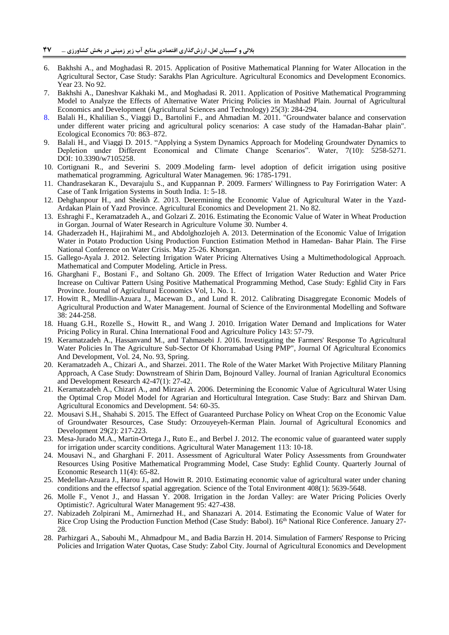- <span id="page-10-2"></span>6. Bakhshi A., and Moghadasi R. 2015. Application of Positive Mathematical Planning for Water Allocation in the Agricultural Sector, Case Study: Sarakhs Plan Agriculture. Agricultural Economics and Development Economics. Year 23. No 92.
- <span id="page-10-8"></span>7. Bakhshi A., Daneshvar Kakhaki M., and Moghadasi R. 2011. Application of Positive Mathematical Programming Model to Analyze the Effects of Alternative Water Pricing Policies in Mashhad Plain. Journal of Agricultural Economics and Development (Agricultural Sciences and Technology) 25(3): 284-294.
- <span id="page-10-3"></span>8. Balali H., Khalilian S., Viaggi D., Bartolini F., and Ahmadian M. 2011. "Groundwater balance and conservation under different water pricing and agricultural policy scenarios: A case study of the Hamadan-Bahar plain". Ecological Economics 70: 863–872.
- <span id="page-10-4"></span>9. Balali H., and Viaggi D. 2015. "Applying a System Dynamics Approach for Modeling Groundwater Dynamics to Depletion under Different Economical and Climate Change Scenarios". Water, 7(10): 5258-5271. DOI: 10.3390/w7105258.
- 10. Cortignani R., and Severini S. 2009 .Modeling farm- level adoption of deficit irrigation using positive mathematical programming. Agricultural Water Managemen. 96: 1785-1791.
- <span id="page-10-18"></span>11. Chandrasekaran K., Devarajulu S., and Kuppannan P. 2009. Farmers' Willingness to Pay Forirrigation Water: A Case of Tank Irrigation Systems in South India. 1: 5-18.
- <span id="page-10-10"></span>12. Dehghanpour H., and Sheikh Z. 2013. Determining the Economic Value of Agricultural Water in the Yazd-Ardakan Plain of Yazd Province. Agricultural Economics and Development 21. No 82.
- <span id="page-10-5"></span>13. Eshraghi F., Keramatzadeh A., and Golzari Z. 2016. Estimating the Economic Value of Water in Wheat Production in Gorgan. Journal of Water Research in Agriculture Volume 30. Number 4.
- 14. Ghaderzadeh H., Hajirahimi M., and Abdolghozlojeh A. 2013. Determination of the Economic Value of Irrigation Water in Potato Production Using Production Function Estimation Method in Hamedan- Bahar Plain. The Firse National Conference on Water Crisis. May 25-26. Khorsgan.
- <span id="page-10-16"></span>15. Gallego-Ayala J. 2012. Selecting Irrigation Water Pricing Alternatives Using a Multimethodological Approach. Mathematical and Computer Modeling. Article in Press.
- <span id="page-10-12"></span>16. Gharghani F., Bostani F., and Soltano Gh. 2009. The Effect of Irrigation Water Reduction and Water Price Increase on Cultivar Pattern Using Positive Mathematical Programming Method, Case Study: Eghlid City in Fars Province. Journal of Agricultural Economics Vol, 1. No. 1.
- <span id="page-10-13"></span>17. Howitt R., Medllin-Azuara J., Macewan D., and Lund R. 2012. Calibrating Disaggregate Economic Models of Agricultural Production and Water Management. Journal of Science of the Environmental Modelling and Software 38: 244-258.
- <span id="page-10-17"></span>18. Huang G.H., Rozelle S., Howitt R., and Wang J. 2010. Irrigation Water Demand and Implications for Water Pricing Policy in Rural. China International Food and Agriculture Policy 143: 57-79.
- <span id="page-10-0"></span>19. Keramatzadeh A., Hassanvand M., and Tahmasebi J. 2016. Investigating the Farmers' Response To Agricultural Water Policies In The Agriculture Sub-Sector Of Khorramabad Using PMP", Journal Of Agricultural Economics And Development, Vol. 24, No. 93, Spring.
- 20. Keramatzadeh A., Chizari A., and Sharzei. 2011. The Role of the Water Market With Projective Military Planning Approach, A Case Study: Downstream of Shirin Dam, Bojnourd Valley. Journal of Iranian Agricultural Economics and Development Research 42-47(1): 27-42.
- <span id="page-10-1"></span>21. Keramatzadeh A., Chizari A., and Mirzaei A. 2006. Determining the Economic Value of Agricultural Water Using the Optimal Crop Model Model for Agrarian and Horticultural Integration. Case Study: Barz and Shirvan Dam. Agricultural Economics and Development. 54: 60-35.
- <span id="page-10-11"></span>22. Mousavi S.H., Shahabi S. 2015. The Effect of Guaranteed Purchase Policy on Wheat Crop on the Economic Value of Groundwater Resources, Case Study: Orzouyeyeh-Kerman Plain. Journal of Agricultural Economics and Development 29(2): 217-223.
- <span id="page-10-14"></span>23. Mesa-Jurado M.A., Martin-Ortega J., Ruto E., and Berbel J. 2012. The economic value of guaranteed water supply for irrigation under scarcity conditions. Agricultural Water Management 113: 10-18.
- <span id="page-10-7"></span>24. Mousavi N., and Gharghani F. 2011. Assessment of Agricultural Water Policy Assessments from Groundwater Resources Using Positive Mathematical Programming Model, Case Study: Eghlid County. Quarterly Journal of Economic Research 11(4): 65-82.
- <span id="page-10-15"></span>25. Medellan-Azuara J., Harou J., and Howitt R. 2010. Estimating economic value of agricultural water under chaning conditions and the effectsof spatial aggregation. Science of the Total Environment 408(1): 5639-5648.
- <span id="page-10-19"></span>26. Molle F., Venot J., and Hassan Y. 2008. Irrigation in the Jordan Valley: are Water Pricing Policies Overly Optimistic?. Agricultural Water Management 95: 427-438.
- <span id="page-10-6"></span>27. Nabizadeh Zolpirani M., Amirnezhad H., and Shanazari A. 2014. Estimating the Economic Value of Water for Rice Crop Using the Production Function Method (Case Study: Babol). 16th National Rice Conference. January 27- 28.
- <span id="page-10-9"></span>28. Parhizgari A., Sabouhi M., Ahmadpour M., and Badia Barzin H. 2014. Simulation of Farmers' Response to Pricing Policies and Irrigation Water Quotas, Case Study: Zabol City. Journal of Agricultural Economics and Development